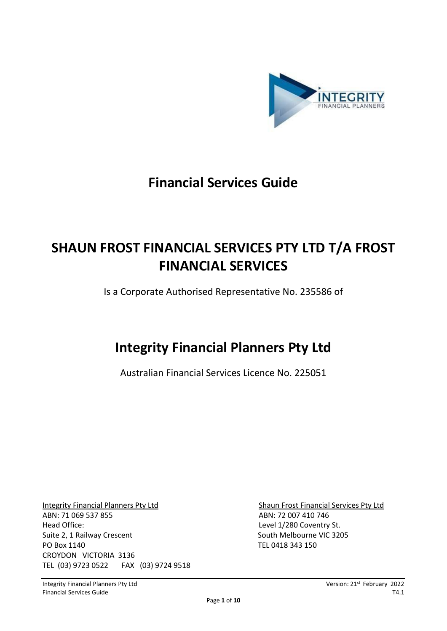

# **Financial Services Guide**

# **SHAUN FROST FINANCIAL SERVICES PTY LTD T/A FROST FINANCIAL SERVICES**

Is a Corporate Authorised Representative No. 235586 of

# **Integrity Financial Planners Pty Ltd**

Australian Financial Services Licence No. 225051

Integrity Financial Planners Pty Ltd Shaun Frost Financial Services Pty Ltd ABN: 71 069 537 855 ABN: 72 007 410 746 Head Office: Level 1/280 Coventry St. Suite 2, 1 Railway Crescent South Melbourne VIC 3205 PO Box 1140 TEL 0418 343 150 CROYDON VICTORIA 3136 TEL (03) 9723 0522 FAX (03) 9724 9518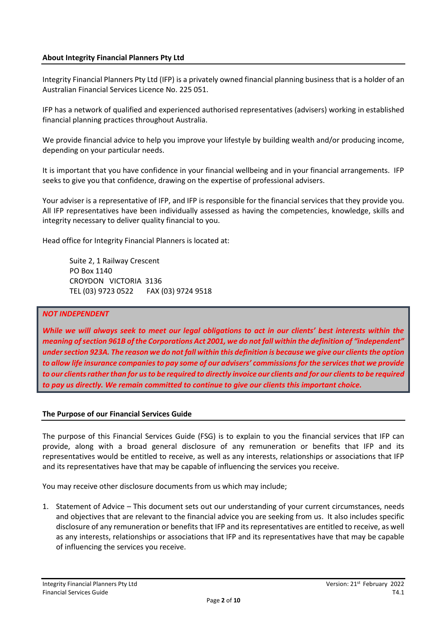#### **About Integrity Financial Planners Pty Ltd**

Integrity Financial Planners Pty Ltd (IFP) is a privately owned financial planning business that is a holder of an Australian Financial Services Licence No. 225 051.

IFP has a network of qualified and experienced authorised representatives (advisers) working in established financial planning practices throughout Australia.

We provide financial advice to help you improve your lifestyle by building wealth and/or producing income, depending on your particular needs.

It is important that you have confidence in your financial wellbeing and in your financial arrangements. IFP seeks to give you that confidence, drawing on the expertise of professional advisers.

Your adviser is a representative of IFP, and IFP is responsible for the financial services that they provide you. All IFP representatives have been individually assessed as having the competencies, knowledge, skills and integrity necessary to deliver quality financial to you.

Head office for Integrity Financial Planners is located at:

Suite 2, 1 Railway Crescent PO Box 1140 CROYDON VICTORIA 3136 TEL (03) 9723 0522 FAX (03) 9724 9518

#### *NOT INDEPENDENT*

*While we will always seek to meet our legal obligations to act in our clients' best interests within the meaning of section 961B of the Corporations Act 2001, we do not fall within the definition of "independent" under section 923A. The reason we do not fall within this definition is because we give our clients the option to allow life insurance companies to pay some of our advisers' commissions for the services that we provide to our clients rather than for us to be required to directly invoice our clients and for our clients to be required to pay us directly. We remain committed to continue to give our clients this important choice.* 

#### **The Purpose of our Financial Services Guide**

The purpose of this Financial Services Guide (FSG) is to explain to you the financial services that IFP can provide, along with a broad general disclosure of any remuneration or benefits that IFP and its representatives would be entitled to receive, as well as any interests, relationships or associations that IFP and its representatives have that may be capable of influencing the services you receive.

You may receive other disclosure documents from us which may include;

1. Statement of Advice – This document sets out our understanding of your current circumstances, needs and objectives that are relevant to the financial advice you are seeking from us. It also includes specific disclosure of any remuneration or benefits that IFP and its representatives are entitled to receive, as well as any interests, relationships or associations that IFP and its representatives have that may be capable of influencing the services you receive.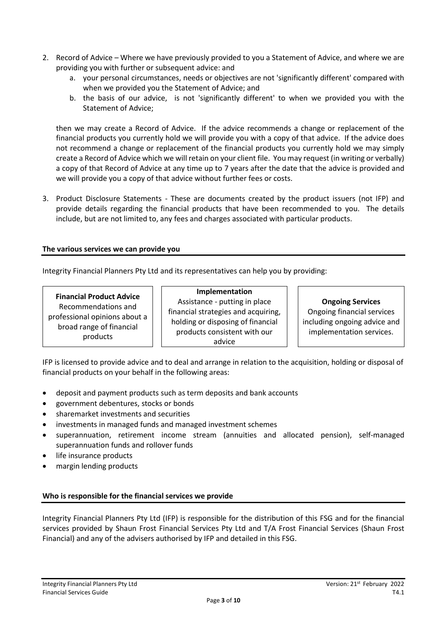- 2. Record of Advice Where we have previously provided to you a Statement of Advice, and where we are providing you with further or subsequent advice: and
	- a. your personal circumstances, needs or objectives are not 'significantly different' compared with when we provided you the Statement of Advice; and
	- b. the basis of our advice, is not 'significantly different' to when we provided you with the Statement of Advice;

then we may create a Record of Advice. If the advice recommends a change or replacement of the financial products you currently hold we will provide you with a copy of that advice. If the advice does not recommend a change or replacement of the financial products you currently hold we may simply create a Record of Advice which we will retain on your client file. You may request (in writing or verbally) a copy of that Record of Advice at any time up to 7 years after the date that the advice is provided and we will provide you a copy of that advice without further fees or costs.

3. Product Disclosure Statements - These are documents created by the product issuers (not IFP) and provide details regarding the financial products that have been recommended to you. The details include, but are not limited to, any fees and charges associated with particular products.

# **The various services we can provide you**

Integrity Financial Planners Pty Ltd and its representatives can help you by providing:

# **Financial Product Advice**

Recommendations and professional opinions about a broad range of financial products

**Implementation** Assistance - putting in place financial strategies and acquiring, holding or disposing of financial products consistent with our advice

# **Ongoing Services**

Ongoing financial services including ongoing advice and implementation services.

IFP is licensed to provide advice and to deal and arrange in relation to the acquisition, holding or disposal of financial products on your behalf in the following areas:

- deposit and payment products such as term deposits and bank accounts
- government debentures, stocks or bonds
- sharemarket investments and securities
- investments in managed funds and managed investment schemes
- superannuation, retirement income stream (annuities and allocated pension), self-managed superannuation funds and rollover funds
- life insurance products
- margin lending products

# **Who is responsible for the financial services we provide**

Integrity Financial Planners Pty Ltd (IFP) is responsible for the distribution of this FSG and for the financial services provided by Shaun Frost Financial Services Pty Ltd and T/A Frost Financial Services (Shaun Frost Financial) and any of the advisers authorised by IFP and detailed in this FSG.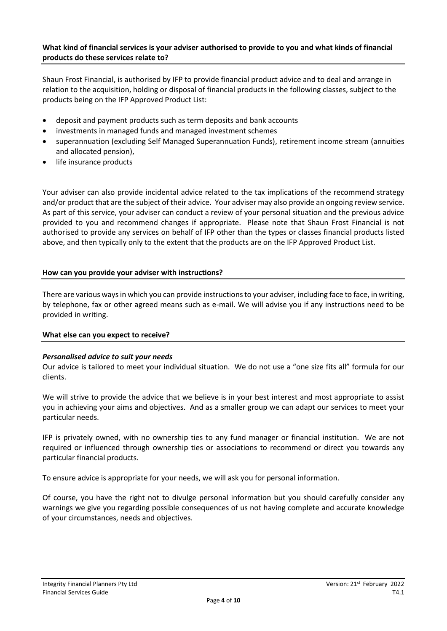#### **What kind of financial services is your adviser authorised to provide to you and what kinds of financial products do these services relate to?**

Shaun Frost Financial, is authorised by IFP to provide financial product advice and to deal and arrange in relation to the acquisition, holding or disposal of financial products in the following classes, subject to the products being on the IFP Approved Product List:

- deposit and payment products such as term deposits and bank accounts
- investments in managed funds and managed investment schemes
- superannuation (excluding Self Managed Superannuation Funds), retirement income stream (annuities and allocated pension),
- life insurance products

Your adviser can also provide incidental advice related to the tax implications of the recommend strategy and/or product that are the subject of their advice. Your adviser may also provide an ongoing review service. As part of this service, your adviser can conduct a review of your personal situation and the previous advice provided to you and recommend changes if appropriate. Please note that Shaun Frost Financial is not authorised to provide any services on behalf of IFP other than the types or classes financial products listed above, and then typically only to the extent that the products are on the IFP Approved Product List.

# **How can you provide your adviser with instructions?**

There are various ways in which you can provide instructions to your adviser, including face to face, in writing, by telephone, fax or other agreed means such as e-mail. We will advise you if any instructions need to be provided in writing.

# **What else can you expect to receive?**

# *Personalised advice to suit your needs*

Our advice is tailored to meet your individual situation. We do not use a "one size fits all" formula for our clients.

We will strive to provide the advice that we believe is in your best interest and most appropriate to assist you in achieving your aims and objectives. And as a smaller group we can adapt our services to meet your particular needs.

IFP is privately owned, with no ownership ties to any fund manager or financial institution. We are not required or influenced through ownership ties or associations to recommend or direct you towards any particular financial products.

To ensure advice is appropriate for your needs, we will ask you for personal information.

Of course, you have the right not to divulge personal information but you should carefully consider any warnings we give you regarding possible consequences of us not having complete and accurate knowledge of your circumstances, needs and objectives.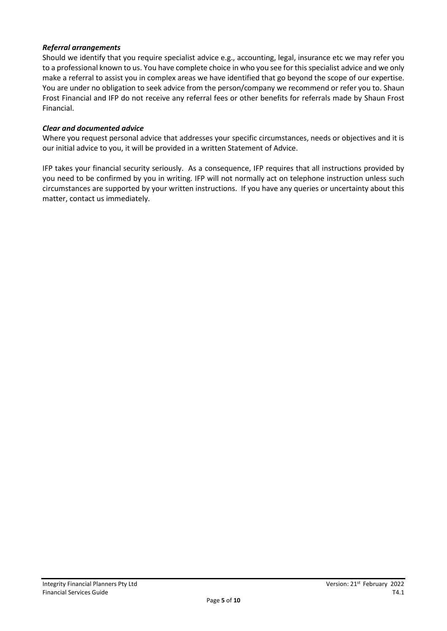# *Referral arrangements*

Should we identify that you require specialist advice e.g., accounting, legal, insurance etc we may refer you to a professional known to us. You have complete choice in who you see for this specialist advice and we only make a referral to assist you in complex areas we have identified that go beyond the scope of our expertise. You are under no obligation to seek advice from the person/company we recommend or refer you to. Shaun Frost Financial and IFP do not receive any referral fees or other benefits for referrals made by Shaun Frost Financial.

#### *Clear and documented advice*

Where you request personal advice that addresses your specific circumstances, needs or objectives and it is our initial advice to you, it will be provided in a written Statement of Advice.

IFP takes your financial security seriously. As a consequence, IFP requires that all instructions provided by you need to be confirmed by you in writing. IFP will not normally act on telephone instruction unless such circumstances are supported by your written instructions. If you have any queries or uncertainty about this matter, contact us immediately.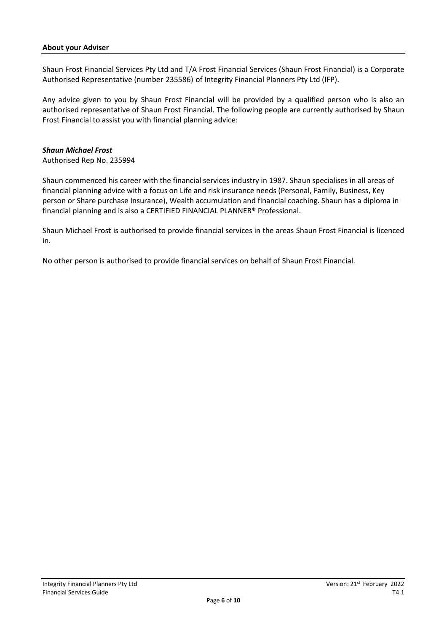#### **About your Adviser**

Shaun Frost Financial Services Pty Ltd and T/A Frost Financial Services (Shaun Frost Financial) is a Corporate Authorised Representative (number 235586) of Integrity Financial Planners Pty Ltd (IFP).

Any advice given to you by Shaun Frost Financial will be provided by a qualified person who is also an authorised representative of Shaun Frost Financial. The following people are currently authorised by Shaun Frost Financial to assist you with financial planning advice:

#### *Shaun Michael Frost*

Authorised Rep No. 235994

Shaun commenced his career with the financial services industry in 1987. Shaun specialises in all areas of financial planning advice with a focus on Life and risk insurance needs (Personal, Family, Business, Key person or Share purchase Insurance), Wealth accumulation and financial coaching. Shaun has a diploma in financial planning and is also a CERTIFIED FINANCIAL PLANNER® Professional.

Shaun Michael Frost is authorised to provide financial services in the areas Shaun Frost Financial is licenced in.

No other person is authorised to provide financial services on behalf of Shaun Frost Financial.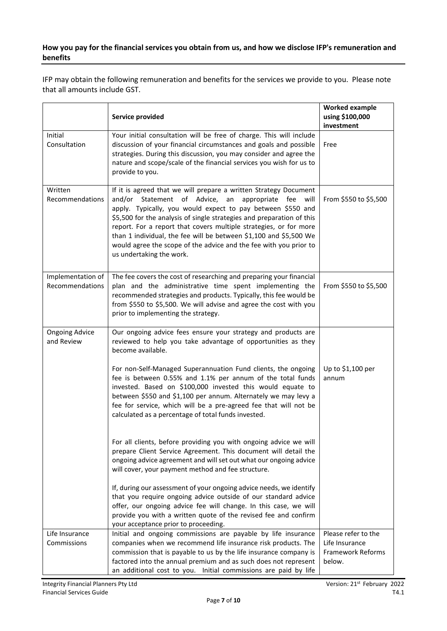# **How you pay for the financial services you obtain from us, and how we disclose IFP's remuneration and benefits**

IFP may obtain the following remuneration and benefits for the services we provide to you. Please note that all amounts include GST.

|                                      | Service provided                                                                                                                                                                                                                                                                                                                                                                                                                                                                                              | <b>Worked example</b><br>using \$100,000<br>investment               |
|--------------------------------------|---------------------------------------------------------------------------------------------------------------------------------------------------------------------------------------------------------------------------------------------------------------------------------------------------------------------------------------------------------------------------------------------------------------------------------------------------------------------------------------------------------------|----------------------------------------------------------------------|
| Initial<br>Consultation              | Your initial consultation will be free of charge. This will include<br>discussion of your financial circumstances and goals and possible<br>strategies. During this discussion, you may consider and agree the<br>nature and scope/scale of the financial services you wish for us to<br>provide to you.                                                                                                                                                                                                      | Free                                                                 |
| Written<br>Recommendations           | If it is agreed that we will prepare a written Strategy Document<br>and/or Statement of Advice, an<br>appropriate fee will<br>apply. Typically, you would expect to pay between \$550 and<br>\$5,500 for the analysis of single strategies and preparation of this<br>report. For a report that covers multiple strategies, or for more<br>than 1 individual, the fee will be between \$1,100 and \$5,500 We<br>would agree the scope of the advice and the fee with you prior to<br>us undertaking the work. | From \$550 to \$5,500                                                |
| Implementation of<br>Recommendations | The fee covers the cost of researching and preparing your financial<br>plan and the administrative time spent implementing the<br>recommended strategies and products. Typically, this fee would be<br>from \$550 to \$5,500. We will advise and agree the cost with you<br>prior to implementing the strategy.                                                                                                                                                                                               | From \$550 to \$5,500                                                |
| <b>Ongoing Advice</b><br>and Review  | Our ongoing advice fees ensure your strategy and products are<br>reviewed to help you take advantage of opportunities as they<br>become available.                                                                                                                                                                                                                                                                                                                                                            |                                                                      |
|                                      | For non-Self-Managed Superannuation Fund clients, the ongoing<br>fee is between 0.55% and 1.1% per annum of the total funds<br>invested. Based on \$100,000 invested this would equate to<br>between \$550 and \$1,100 per annum. Alternately we may levy a<br>fee for service, which will be a pre-agreed fee that will not be<br>calculated as a percentage of total funds invested.                                                                                                                        | Up to \$1,100 per<br>annum                                           |
|                                      | For all clients, before providing you with ongoing advice we will<br>prepare Client Service Agreement. This document will detail the<br>ongoing advice agreement and will set out what our ongoing advice<br>will cover, your payment method and fee structure.                                                                                                                                                                                                                                               |                                                                      |
|                                      | If, during our assessment of your ongoing advice needs, we identify<br>that you require ongoing advice outside of our standard advice<br>offer, our ongoing advice fee will change. In this case, we will<br>provide you with a written quote of the revised fee and confirm<br>your acceptance prior to proceeding.                                                                                                                                                                                          |                                                                      |
| Life Insurance<br>Commissions        | Initial and ongoing commissions are payable by life insurance<br>companies when we recommend life insurance risk products. The<br>commission that is payable to us by the life insurance company is<br>factored into the annual premium and as such does not represent<br>an additional cost to you. Initial commissions are paid by life                                                                                                                                                                     | Please refer to the<br>Life Insurance<br>Framework Reforms<br>below. |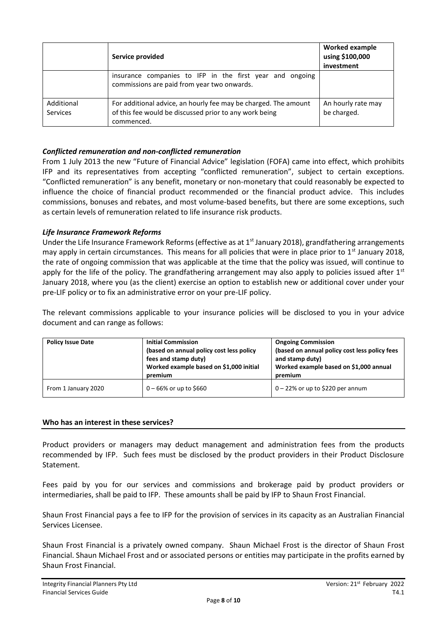|                               | Service provided                                                                                                                        | <b>Worked example</b><br>using \$100,000<br>investment |
|-------------------------------|-----------------------------------------------------------------------------------------------------------------------------------------|--------------------------------------------------------|
|                               | insurance companies to IFP in the first year and ongoing<br>commissions are paid from year two onwards.                                 |                                                        |
| Additional<br><b>Services</b> | For additional advice, an hourly fee may be charged. The amount<br>of this fee would be discussed prior to any work being<br>commenced. | An hourly rate may<br>be charged.                      |

# *Conflicted remuneration and non-conflicted remuneration*

From 1 July 2013 the new "Future of Financial Advice" legislation (FOFA) came into effect, which prohibits IFP and its representatives from accepting "conflicted remuneration", subject to certain exceptions. "Conflicted remuneration" is any benefit, monetary or non-monetary that could reasonably be expected to influence the choice of financial product recommended or the financial product advice. This includes commissions, bonuses and rebates, and most volume-based benefits, but there are some exceptions, such as certain levels of remuneration related to life insurance risk products.

# *Life Insurance Framework Reforms*

Under the Life Insurance Framework Reforms (effective as at 1<sup>st</sup> January 2018), grandfathering arrangements may apply in certain circumstances. This means for all policies that were in place prior to 1<sup>st</sup> January 2018, the rate of ongoing commission that was applicable at the time that the policy was issued, will continue to apply for the life of the policy. The grandfathering arrangement may also apply to policies issued after  $1<sup>st</sup>$ January 2018, where you (as the client) exercise an option to establish new or additional cover under your pre-LIF policy or to fix an administrative error on your pre-LIF policy.

The relevant commissions applicable to your insurance policies will be disclosed to you in your advice document and can range as follows:

| <b>Policy Issue Date</b> | <b>Initial Commission</b><br>(based on annual policy cost less policy<br>fees and stamp duty)<br>Worked example based on \$1,000 initial<br>premium | <b>Ongoing Commission</b><br>(based on annual policy cost less policy fees<br>and stamp duty)<br>Worked example based on \$1,000 annual<br>premium |
|--------------------------|-----------------------------------------------------------------------------------------------------------------------------------------------------|----------------------------------------------------------------------------------------------------------------------------------------------------|
| From 1 January 2020      | $0 - 66\%$ or up to \$660                                                                                                                           | $0 - 22\%$ or up to \$220 per annum                                                                                                                |

# **Who has an interest in these services?**

Product providers or managers may deduct management and administration fees from the products recommended by IFP. Such fees must be disclosed by the product providers in their Product Disclosure Statement.

Fees paid by you for our services and commissions and brokerage paid by product providers or intermediaries, shall be paid to IFP. These amounts shall be paid by IFP to Shaun Frost Financial.

Shaun Frost Financial pays a fee to IFP for the provision of services in its capacity as an Australian Financial Services Licensee.

Shaun Frost Financial is a privately owned company. Shaun Michael Frost is the director of Shaun Frost Financial. Shaun Michael Frost and or associated persons or entities may participate in the profits earned by Shaun Frost Financial.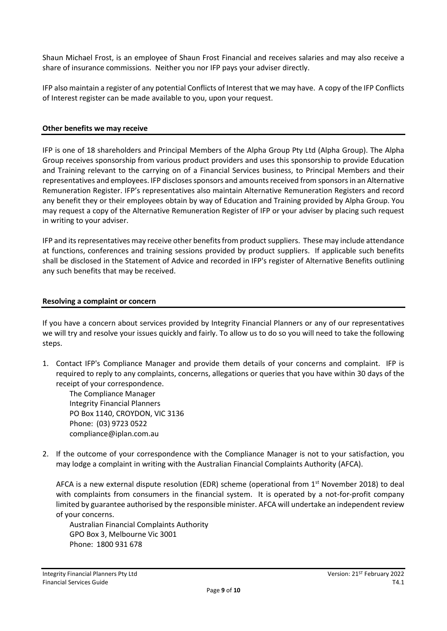Shaun Michael Frost, is an employee of Shaun Frost Financial and receives salaries and may also receive a share of insurance commissions. Neither you nor IFP pays your adviser directly.

IFP also maintain a register of any potential Conflicts of Interest that we may have. A copy of the IFP Conflicts of Interest register can be made available to you, upon your request.

#### **Other benefits we may receive**

IFP is one of 18 shareholders and Principal Members of the Alpha Group Pty Ltd (Alpha Group). The Alpha Group receives sponsorship from various product providers and uses this sponsorship to provide Education and Training relevant to the carrying on of a Financial Services business, to Principal Members and their representatives and employees. IFP discloses sponsors and amounts received from sponsors in an Alternative Remuneration Register. IFP's representatives also maintain Alternative Remuneration Registers and record any benefit they or their employees obtain by way of Education and Training provided by Alpha Group. You may request a copy of the Alternative Remuneration Register of IFP or your adviser by placing such request in writing to your adviser.

IFP and its representatives may receive other benefits from product suppliers. These may include attendance at functions, conferences and training sessions provided by product suppliers. If applicable such benefits shall be disclosed in the Statement of Advice and recorded in IFP's register of Alternative Benefits outlining any such benefits that may be received.

#### **Resolving a complaint or concern**

If you have a concern about services provided by Integrity Financial Planners or any of our representatives we will try and resolve your issues quickly and fairly. To allow us to do so you will need to take the following steps.

1. Contact IFP's Compliance Manager and provide them details of your concerns and complaint. IFP is required to reply to any complaints, concerns, allegations or queries that you have within 30 days of the receipt of your correspondence.

The Compliance Manager Integrity Financial Planners PO Box 1140, CROYDON, VIC 3136 Phone: (03) 9723 0522 compliance@iplan.com.au

2. If the outcome of your correspondence with the Compliance Manager is not to your satisfaction, you may lodge a complaint in writing with the Australian Financial Complaints Authority (AFCA).

AFCA is a new external dispute resolution (EDR) scheme (operational from 1<sup>st</sup> November 2018) to deal with complaints from consumers in the financial system. It is operated by a not-for-profit company limited by guarantee authorised by the responsible minister. AFCA will undertake an independent review of your concerns.

Australian Financial Complaints Authority GPO Box 3, Melbourne Vic 3001 Phone: 1800 931 678